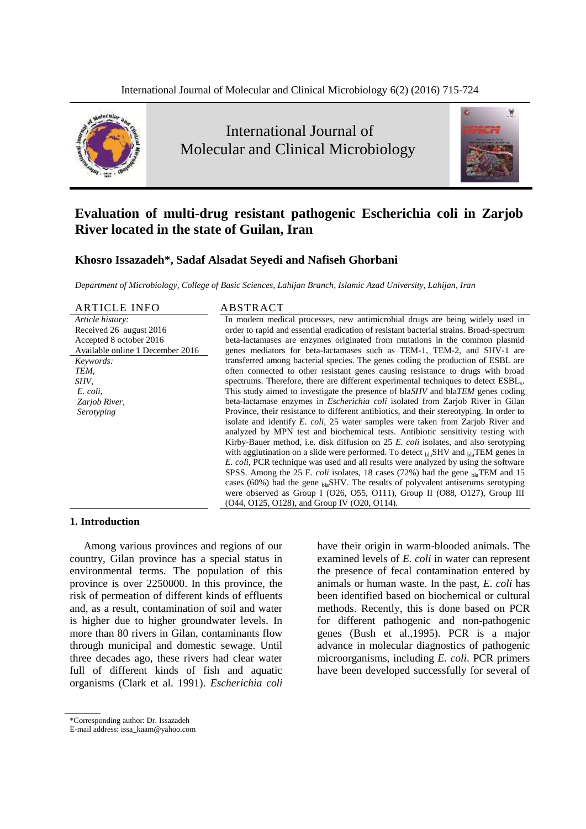

# International Journal of Molecular and Clinical Microbiology



# **Evaluation of multi-drug resistant pathogenic Escherichia coli in Zarjob River located in the state of Guilan, Iran**

# **Khosro Issazadeh\*, Sadaf Alsadat Seyedi and Nafiseh Ghorbani**

*Department of Microbiology, College of Basic Sciences, Lahijan Branch, Islamic Azad University, Lahijan, Iran*

ARTICLE INFO ABSTRACT

*Article history:* Received 26 august 2016 Accepted 8 october 2016 Available online 1 December 2016 *Keywords: TEM, SHV, E. coli, Zarjob River, Serotyping*

In modern medical processes, new antimicrobial drugs are being widely used in order to rapid and essential eradication of resistant bacterial strains. Broad-spectrum beta-lactamases are enzymes originated from mutations in the common plasmid genes mediators for beta-lactamases such as TEM-1, TEM-2, and SHV-1 are transferred among bacterial species. The genes coding the production of ESBL are often connected to other resistant genes causing resistance to drugs with broad spectrums. Therefore, there are different experimental techniques to detect ESBL<sub>s</sub>. This study aimed to investigate the presence of bla*SHV* and bla*TEM* genes coding beta-lactamase enzymes in *Escherichia coli* isolated from Zarjob River in Gilan Province, their resistance to different antibiotics, and their stereotyping. In order to isolate and identify *E. coli*, 25 water samples were taken from Zarjob River and analyzed by MPN test and biochemical tests. Antibiotic sensitivity testing with Kirby-Bauer method, i.e. disk diffusion on 25 *E. coli* isolates, and also serotyping with agglutination on a slide were performed. To detect blaSHV and blaTEM genes in *E. coli*, PCR technique was used and all results were analyzed by using the software SPSS. Among the 25 E. *coli* isolates, 18 cases (72%) had the gene blaTEM and 15 cases (60%) had the gene  $_{bla}$ SHV. The results of polyvalent antiserums serotyping were observed as Group I (O26, O55, O111), Group II (O88, O127), Group III (O44, O125, O128), and Group IV (O20, O114).

### **1. Introduction**

Among various provinces and regions of our country, Gilan province has a special status in environmental terms. The population of this province is over 2250000. In this province, the risk of permeation of different kinds of effluents and, as a result, contamination of soil and water is higher due to higher groundwater levels. In more than 80 rivers in Gilan, contaminants flow through municipal and domestic sewage. Until three decades ago, these rivers had clear water full of different kinds of fish and aquatic organisms (Clark et al. 1991). *Escherichia coli*

have their origin in warm-blooded animals. The examined levels of *E. coli* in water can represent the presence of fecal contamination entered by animals or human waste. In the past, *E. coli* has been identified based on biochemical or cultural methods. Recently, this is done based on PCR for different pathogenic and non-pathogenic genes (Bush et al.,1995). PCR is a major advance in molecular diagnostics of pathogenic microorganisms, including *E. coli*. PCR primers have been developed successfully for several of

<sup>\*</sup>Corresponding author: Dr. Issazadeh

E-mail address: issa\_kaam@yahoo.com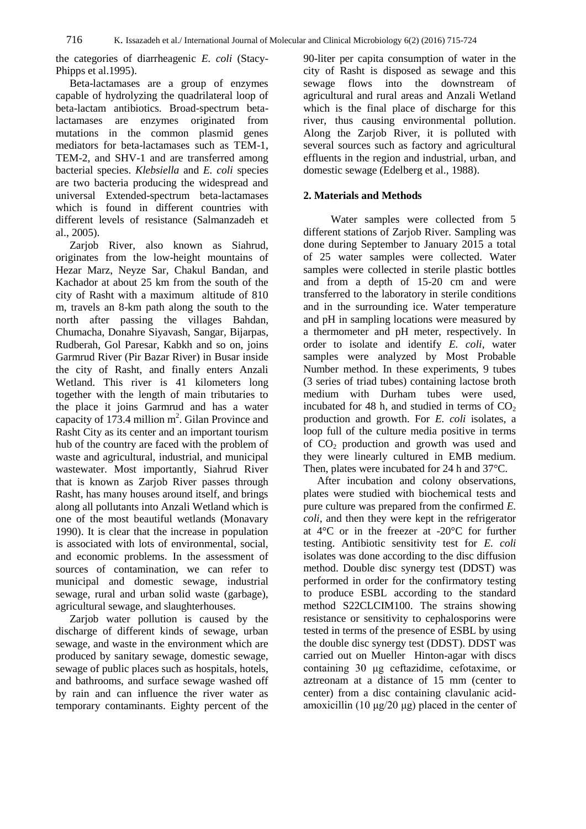the categories of diarrheagenic *E. coli* (Stacy-Phipps et al.1995).

Beta-lactamases are a group of enzymes capable of hydrolyzing the quadrilateral loop of beta-lactam antibiotics. Broad-spectrum betalactamases are enzymes originated from mutations in the common plasmid genes mediators for beta-lactamases such as TEM-1, TEM-2, and SHV-1 and are transferred among bacterial species. *Klebsiella* and *E. coli* species are two bacteria producing the widespread and universal Extended-spectrum beta-lactamases which is found in different countries with different levels of resistance (Salmanzadeh et al., 2005).

Zarjob River, also known as Siahrud, originates from the low-height mountains of Hezar Marz, Neyze Sar, Chakul Bandan, and Kachador at about 25 km from the south of the city of Rasht with a maximum altitude of 810 m, travels an 8-km path along the south to the north after passing the villages Bahdan, Chumacha, Donahre Siyavash, Sangar, Bijarpas, Rudberah, Gol Paresar, Kabkh and so on, joins Garmrud River (Pir Bazar River) in Busar inside the city of Rasht, and finally enters Anzali Wetland. This river is 41 kilometers long together with the length of main tributaries to the place it joins Garmrud and has a water capacity of 173.4 million  $m^2$ . Gilan Province and Rasht City as its center and an important tourism hub of the country are faced with the problem of waste and agricultural, industrial, and municipal wastewater. Most importantly, Siahrud River that is known as Zarjob River passes through Rasht, has many houses around itself, and brings along all pollutants into Anzali Wetland which is one of the most beautiful wetlands (Monavary 1990). It is clear that the increase in population is associated with lots of environmental, social, and economic problems. In the assessment of sources of contamination, we can refer to municipal and domestic sewage, industrial sewage, rural and urban solid waste (garbage), agricultural sewage, and slaughterhouses.

Zarjob water pollution is caused by the discharge of different kinds of sewage, urban sewage, and waste in the environment which are produced by sanitary sewage, domestic sewage, sewage of public places such as hospitals, hotels, and bathrooms, and surface sewage washed off by rain and can influence the river water as temporary contaminants. Eighty percent of the

90-liter per capita consumption of water in the city of Rasht is disposed as sewage and this sewage flows into the downstream of agricultural and rural areas and Anzali Wetland which is the final place of discharge for this river, thus causing environmental pollution. Along the Zarjob River, it is polluted with several sources such as factory and agricultural effluents in the region and industrial, urban, and domestic sewage (Edelberg et al., 1988).

#### **2. Materials and Methods**

 Water samples were collected from 5 different stations of Zarjob River. Sampling was done during September to January 2015 a total of 25 water samples were collected. Water samples were collected in sterile plastic bottles and from a depth of 15-20 cm and were transferred to the laboratory in sterile conditions and in the surrounding ice. Water temperature and pH in sampling locations were measured by a thermometer and pH meter, respectively. In order to isolate and identify *E. coli*, water samples were analyzed by Most Probable Number method. In these experiments, 9 tubes (3 series of triad tubes) containing lactose broth medium with Durham tubes were used, incubated for 48 h, and studied in terms of  $CO<sub>2</sub>$ production and growth. For *E. coli* isolates, a loop full of the culture media positive in terms of  $CO<sub>2</sub>$  production and growth was used and they were linearly cultured in EMB medium. Then, plates were incubated for 24 h and 37°C.

After incubation and colony observations, plates were studied with biochemical tests and pure culture was prepared from the confirmed *E. coli*, and then they were kept in the refrigerator at 4°C or in the freezer at -20°C for further testing. Antibiotic sensitivity test for *E. coli* isolates was done according to the disc diffusion method. Double disc synergy test (DDST) was performed in order for the confirmatory testing to produce ESBL according to the standard method S22CLCIM100. The strains showing resistance or sensitivity to cephalosporins were tested in terms of the presence of ESBL by using the double disc synergy test (DDST). DDST was carried out on Mueller Hinton-agar with discs containing 30 μg ceftazidime, cefotaxime, or aztreonam at a distance of 15 mm (center to center) from a disc containing clavulanic acidamoxicillin (10 μg/20 μg) placed in the center of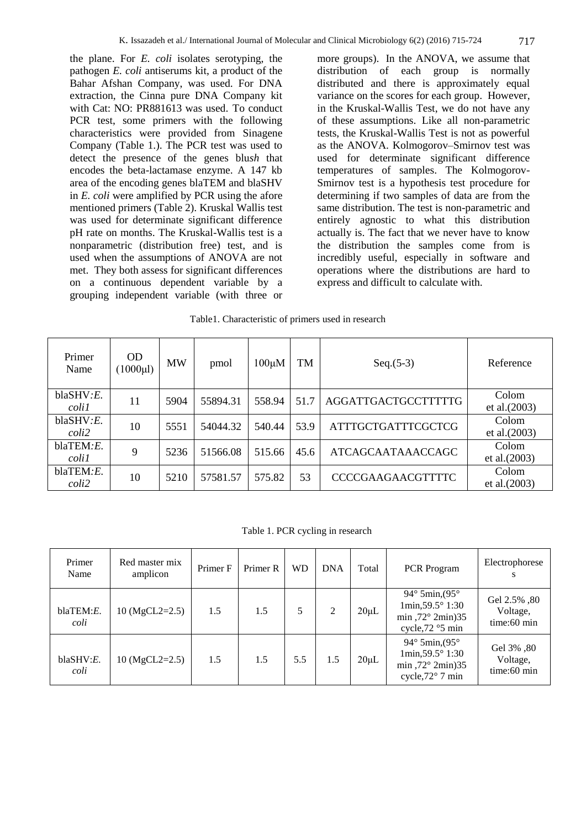the plane. For *E. coli* isolates serotyping, the pathogen *E. coli* antiserums kit, a product of the Bahar Afshan Company, was used. For DNA extraction, the Cinna pure DNA Company kit with Cat: NO: PR881613 was used. To conduct PCR test, some primers with the following characteristics were provided from Sinagene Company (Table 1.). The PCR test was used to detect the presence of the genes blu*sh* that encodes the beta-lactamase enzyme. A 147 kb area of the encoding genes blaTEM and blaSHV in *E. coli* were amplified by PCR using the afore mentioned primers (Table 2). Kruskal Wallis test was used for determinate significant difference pH rate on months. The Kruskal-Wallis test is a nonparametric (distribution free) test, and is used when the assumptions of ANOVA are not met. They both assess for significant differences on a continuous dependent variable by a grouping independent variable (with three or

more groups). In the ANOVA, we assume that distribution of each group is normally distributed and there is approximately equal variance on the scores for each group. However, in the Kruskal-Wallis Test, we do not have any of these assumptions. Like all non-parametric tests, the Kruskal-Wallis Test is not as powerful as the ANOVA. [Kolmogorov](https://en.wikipedia.org/wiki/Andrey_Kolmogorov)[–Smirnov](https://en.wikipedia.org/wiki/Nikolai_Smirnov_%28mathematician%29) test was used for determinate significant difference temperatures of samples. The Kolmogorov-Smirnov test is a hypothesis test procedure for determining if two samples of data are from the same distribution. The test is non-parametric and entirely agnostic to what this distribution actually is. The fact that we never have to know the distribution the samples come from is incredibly useful, especially in software and operations where the distributions are hard to express and difficult to calculate with.

#### Table1. Characteristic of primers used in research

| Primer<br>Name      | <b>OD</b><br>$(1000 \mu l)$ | <b>MW</b> | pmol     | $100 \mu M$ | TM   | $Seq.(5-3)$                | Reference                |
|---------------------|-----------------------------|-----------|----------|-------------|------|----------------------------|--------------------------|
| blackW: E.<br>colil | 11                          | 5904      | 55894.31 | 558.94      | 51.7 | <b>AGGATTGACTGCCTTTTTG</b> | Colom<br>et al. $(2003)$ |
| blackW: E.<br>coli2 | 10                          | 5551      | 54044.32 | 540.44      | 53.9 | <b>ATTTGCTGATTTCGCTCG</b>  | Colom<br>et al. $(2003)$ |
| blaTEM.E.<br>colil  | 9                           | 5236      | 51566.08 | 515.66      | 45.6 | <b>ATCAGCAATAAACCAGC</b>   | Colom<br>et al. $(2003)$ |
| blaTEM.E.<br>coli2  | 10                          | 5210      | 57581.57 | 575.82      | 53   | <b>CCCCGAAGAACGTTTTC</b>   | Colom<br>et al. $(2003)$ |

Table 1. PCR cycling in research

| Primer<br>Name     | Red master mix<br>amplicon | Primer F | Primer R | <b>WD</b> | <b>DNA</b> | Total      | PCR Program                                                                                                              | Electrophorese<br>s                       |
|--------------------|----------------------------|----------|----------|-----------|------------|------------|--------------------------------------------------------------------------------------------------------------------------|-------------------------------------------|
| blaTEM: E.<br>coli | $10 \text{ (MgCL2=2.5)}$   | 1.5      | 1.5      | 5         | 2          | $20 \mu L$ | 94 $\degree$ 5min, (95 $\degree$<br>$1min, 59.5^{\circ} 1:30$<br>min, $72^{\circ}$ 2min) 35<br>cycle, 72 °5 min          | Gel 2.5%, 80<br>Voltage,<br>$time:60$ min |
| blackW: E.<br>coli | $10 \text{ (MgCL2=2.5)}$   | 1.5      | 1.5      | 5.5       | 1.5        | $20 \mu L$ | 94 $\degree$ 5min, (95 $\degree$<br>$1min, 59.5^{\circ} 1:30$<br>min, $72^{\circ}$ 2min) 35<br>cycle, $72^{\circ}$ 7 min | Gel 3%, 80<br>Voltage,<br>$time:60$ min   |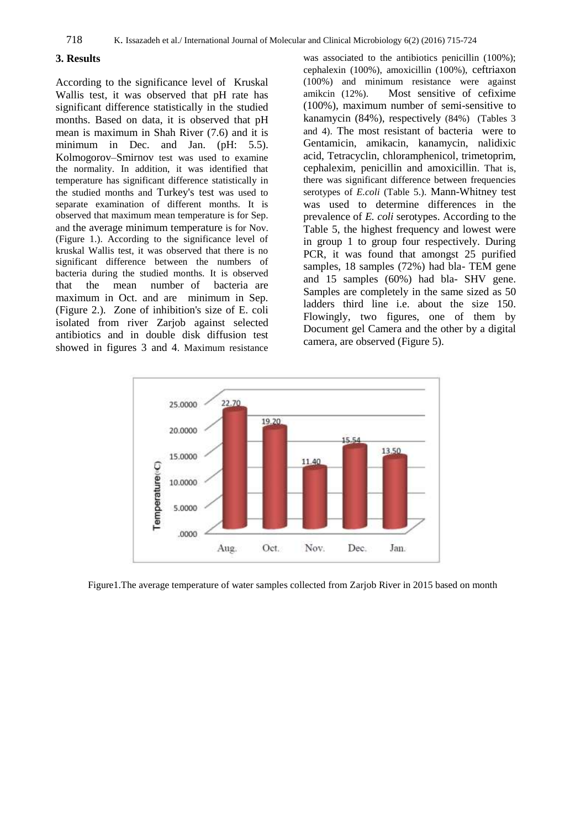## **3. Results**

According to the significance level of Kruskal Wallis test, it was observed that pH rate has significant difference statistically in the studied months. Based on data, it is observed that pH mean is maximum in Shah River (7.6) and it is minimum in Dec. and Jan. (pH: 5.5). [Kolmogorov](https://en.wikipedia.org/wiki/Andrey_Kolmogorov)[–Smirnov](https://en.wikipedia.org/wiki/Nikolai_Smirnov_%28mathematician%29) test was used to examine the normality. In addition, it was identified that temperature has significant difference statistically in the studied months and Turkey's test was used to separate examination of different months. It is observed that maximum mean temperature is for Sep. and the average minimum temperature is for Nov. (Figure 1.). According to the significance level of kruskal Wallis test, it was observed that there is no significant difference between the numbers of bacteria during the studied months. It is observed that the mean number of bacteria are maximum in Oct. and are minimum in Sep. (Figure 2.). [Zone of inhibition's](https://www.boundless.com/microbiology/definition/zone-of-inhibition/) size of E. coli isolated from river Zarjob against selected antibiotics and in double disk diffusion test showed in figures 3 and 4. Maximum resistance

was associated to the antibiotics penicillin (100%); cephalexin (100%), amoxicillin (100%), ceftriaxon (100%) and minimum resistance were against amikcin (12%). Most sensitive of cefixime (100%), maximum number of semi-sensitive to kanamycin (84%), respectively (84%) (Tables 3 and 4). The most resistant of bacteria were to Gentamicin, amikacin, kanamycin, nalidixic acid, Tetracyclin, chloramphenicol, trimetoprim, cephalexim, penicillin and amoxicillin. That is, there was significant difference between frequencies serotypes of *E.coli* (Table 5.). Mann-Whitney test was used to determine differences in the prevalence of *E. coli* serotypes. According to the Table 5, the highest frequency and lowest were in group 1 to group four respectively. During PCR, it was found that amongst 25 purified samples, 18 samples (72%) had bla- TEM gene and 15 samples (60%) had bla- SHV gene. Samples are completely in the same sized as 50 ladders third line i.e. about the size 150. Flowingly, two figures, one of them by Document gel Camera and the other by a digital camera, are observed (Figure 5).



Figure1.The average temperature of water samples collected from Zarjob River in 2015 based on month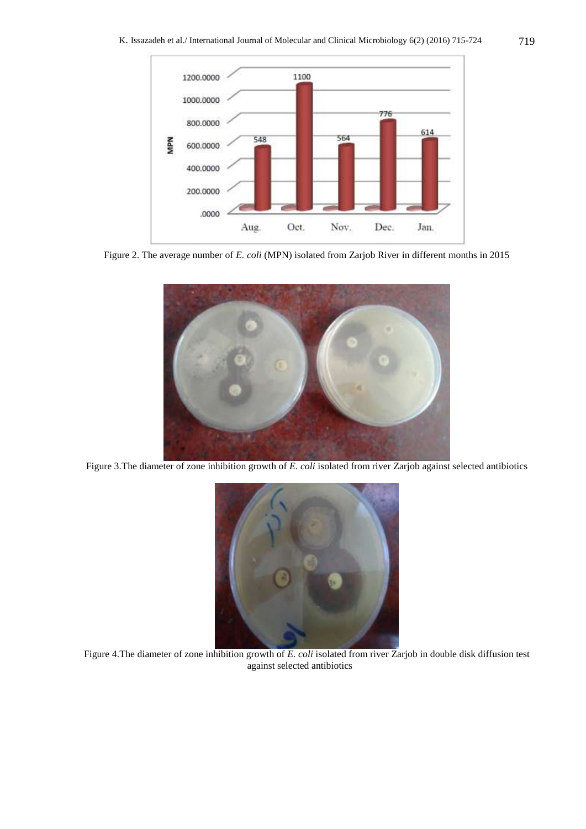

Figure 2. The average number of *E. coli* (MPN) isolated from Zarjob River in different months in 2015



Figure 3.The diameter of zone inhibition growth of *E. coli* isolated from river Zarjob against selected antibiotics



Figure 4.The diameter of zone inhibition growth of *E. coli* isolated from river Zarjob in double disk diffusion test against selected antibiotics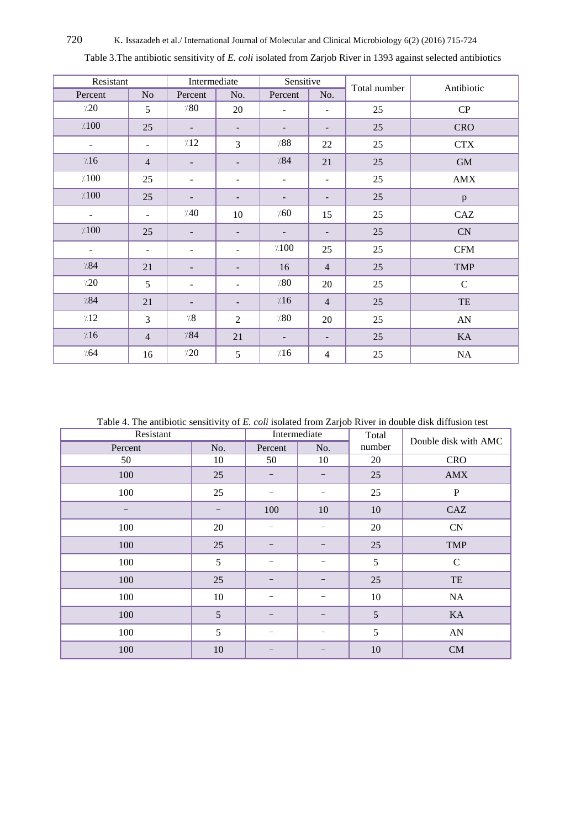## 720 K. Issazadeh et al./ International Journal of Molecular and Clinical Microbiology 6(2) (2016) 715-724

| Resistant           |                          | Intermediate             |                          | Sensitive                |                          | Total number | Antibiotic     |
|---------------------|--------------------------|--------------------------|--------------------------|--------------------------|--------------------------|--------------|----------------|
| Percent             | No                       | Percent                  | No.                      | Percent                  | No.                      |              |                |
| 7.20                | 5                        | 7.80                     | 20                       |                          |                          | 25           | CP             |
| $\gamma\text{.}100$ | 25                       | $\overline{\phantom{a}}$ | $\overline{\phantom{0}}$ | $\overline{\phantom{a}}$ | -                        | 25           | <b>CRO</b>     |
| $\blacksquare$      | ÷,                       | 712                      | 3                        | $\gamma 88$              | 22                       | 25           | CTX            |
| 7.16                | $\overline{4}$           | $\overline{\phantom{m}}$ |                          | 7.84                     | 21                       | 25           | $\mbox{GM}$    |
| $\gamma\,100$       | 25                       | $\blacksquare$           | ۰                        | $\blacksquare$           | $\overline{\phantom{a}}$ | 25           | $\mbox{AMX}$   |
| $\gamma\,100$       | 25                       | $\overline{\phantom{a}}$ | -                        | $\overline{\phantom{a}}$ | -                        | 25           | $\, {\bf p}$   |
| $\blacksquare$      | $\overline{\phantom{a}}$ | 740                      | 10                       | 7.60                     | 15                       | 25           | CAZ            |
| $\gamma\,100$       | 25                       | $\overline{\phantom{a}}$ |                          | $\overline{\phantom{a}}$ | -                        | 25           | ${\rm CN}$     |
| $\blacksquare$      | $\overline{\phantom{0}}$ | -                        |                          | $\gamma_{.}100$          | 25                       | 25           | $\mathbf{CFM}$ |
| 7.84                | 21                       | $\overline{\phantom{a}}$ |                          | 16                       | $\overline{4}$           | 25           | <b>TMP</b>     |
| 7.20                | 5                        | $\overline{\phantom{0}}$ |                          | 7.80                     | 20                       | 25           | $\mathbf C$    |
| 7.84                | 21                       |                          |                          | 7.16                     | $\overline{4}$           | 25           | TE             |
| 7.12                | $\overline{3}$           | $^{\prime\prime}\!\!.8$  | 2                        | 7.80                     | 20                       | 25           | ${\rm AN}$     |
| 7.16                | $\overline{4}$           | 7.84                     | 21                       | $\overline{\phantom{a}}$ | -                        | 25           | KA             |
| 7.64                | 16                       | 720                      | 5                        | 716                      | $\overline{4}$           | 25           | NA             |

Table 3.The antibiotic sensitivity of *E. coli* isolated from Zarjob River in 1393 against selected antibiotics

Table 4. The antibiotic sensitivity of *E. coli* isolated from Zarjob River in double disk diffusion test

| Resistant         |     | Intermediate             | Total | Double disk with AMC |              |
|-------------------|-----|--------------------------|-------|----------------------|--------------|
| Percent           | No. | Percent                  | No.   | number               |              |
| 50                | 10  | 50                       | 10    | 20                   | <b>CRO</b>   |
| 100               | 25  |                          |       | 25                   | <b>AMX</b>   |
| 100               | 25  |                          |       | 25                   | $\mathbf{P}$ |
| $\qquad \qquad -$ |     | 100                      | 10    | 10                   | CAZ          |
| 100               | 20  | $\qquad \qquad -$        | -     | 20                   | ${\rm CN}$   |
| 100               | 25  |                          |       | 25                   | <b>TMP</b>   |
| 100               | 5   |                          |       | 5                    | $\mathbf C$  |
| 100               | 25  |                          |       | 25                   | TE           |
| 100               | 10  |                          |       | 10                   | NA           |
| 100               | 5   |                          | -     | 5                    | KA           |
| 100               | 5   | $\overline{\phantom{0}}$ | -     | 5                    | ${\rm AN}$   |
| 100               | 10  |                          |       | $10\,$               | CM           |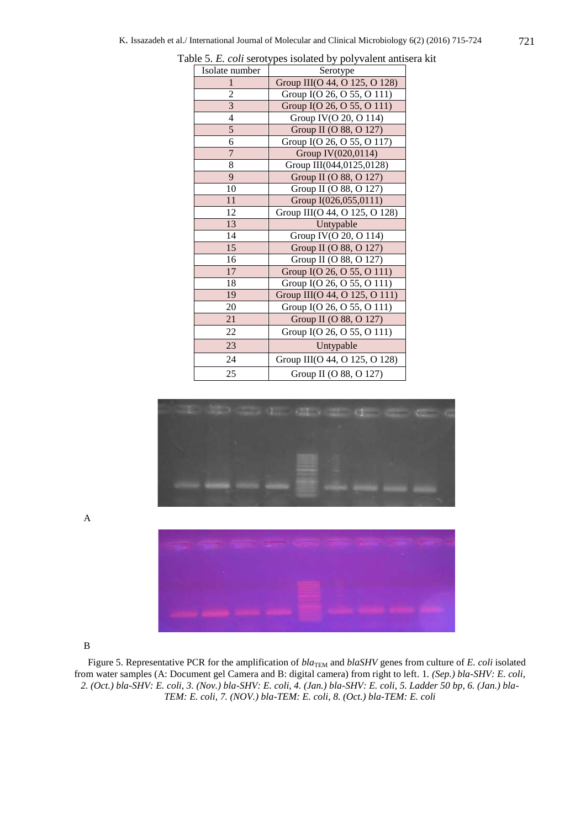| Isolate number          | Serotype                      |  |  |  |  |  |  |
|-------------------------|-------------------------------|--|--|--|--|--|--|
| 1                       | Group III(O 44, O 125, O 128) |  |  |  |  |  |  |
| 2                       | Group I(O 26, O 55, O 111)    |  |  |  |  |  |  |
| $\overline{\mathbf{3}}$ | Group I(O 26, O 55, O 111)    |  |  |  |  |  |  |
| $\overline{4}$          | Group IV(O 20, O 114)         |  |  |  |  |  |  |
| 5                       | Group II (O 88, O 127)        |  |  |  |  |  |  |
| 6                       | Group I(O 26, O 55, O 117)    |  |  |  |  |  |  |
| $\overline{7}$          | Group IV(020,0114)            |  |  |  |  |  |  |
| 8                       | Group III(044,0125,0128)      |  |  |  |  |  |  |
| 9                       | Group II (O 88, O 127)        |  |  |  |  |  |  |
| 10                      | Group II (O 88, O 127)        |  |  |  |  |  |  |
| 11                      | Group I(026,055,0111)         |  |  |  |  |  |  |
| 12                      | Group III(O 44, O 125, O 128) |  |  |  |  |  |  |
| 13                      | Untypable                     |  |  |  |  |  |  |
| 14                      | Group IV(O 20, O 114)         |  |  |  |  |  |  |
| 15                      | Group II (O 88, O 127)        |  |  |  |  |  |  |
| 16                      | Group II (O 88, O 127)        |  |  |  |  |  |  |
| 17                      | Group I(O 26, O 55, O 111)    |  |  |  |  |  |  |
| 18                      | Group I(O 26, O 55, O 111)    |  |  |  |  |  |  |
| 19                      | Group III(O 44, O 125, O 111) |  |  |  |  |  |  |
| 20                      | Group I(O 26, O 55, O 111)    |  |  |  |  |  |  |
| 21                      | Group II (O 88, O 127)        |  |  |  |  |  |  |
| 22                      | Group I(O 26, O 55, O 111)    |  |  |  |  |  |  |
| 23                      | Untypable                     |  |  |  |  |  |  |
| 24                      | Group III(O 44, O 125, O 128) |  |  |  |  |  |  |
| 25                      | Group II (O 88, O 127)        |  |  |  |  |  |  |

Table 5. *E. coli* serotypes isolated by polyvalent antisera kit





B

A

Figure 5. Representative PCR for the amplification of  $bla_{\text{TEM}}$  and  $blaSHV$  genes from culture of *E. coli* isolated from water samples (A: Document gel Camera and B: digital camera) from right to left. 1*. (Sep.) bla-SHV: E. coli, 2. (Oct.) bla-SHV: E. coli, 3. (Nov.) bla-SHV: E. coli, 4. (Jan.) bla-SHV: E. coli, 5. Ladder 50 bp, 6. (Jan.) bla-TEM: E. coli, 7. (NOV.) bla-TEM: E. coli, 8. (Oct.) bla-TEM: E. coli*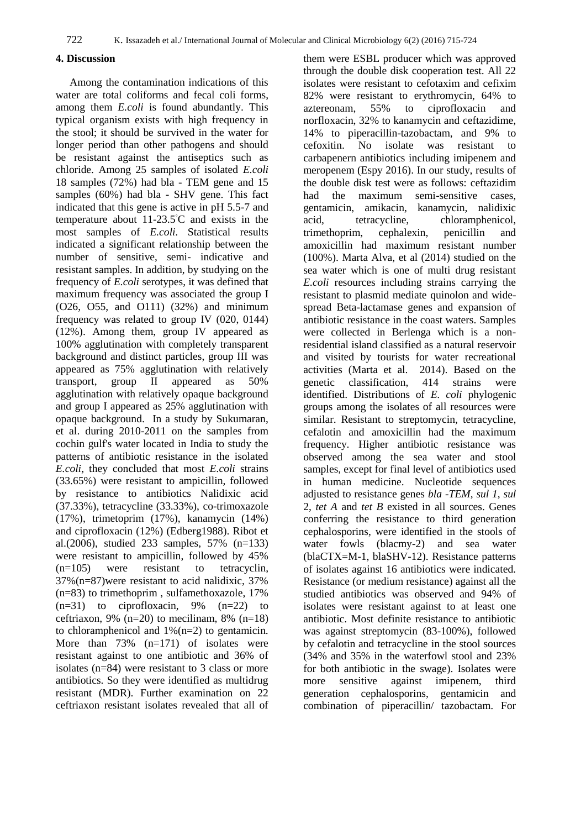# **4. Discussion**

Among the contamination indications of this water are total coliforms and fecal coli forms, among them *E.coli* is found abundantly. This typical organism exists with high frequency in the stool; it should be survived in the water for longer period than other pathogens and should be resistant against the antiseptics such as chloride. Among 25 samples of isolated *E.coli* 18 samples (72%) had bla - TEM gene and 15 samples (60%) had bla - SHV gene. This fact indicated that this gene is active in pH 5.5-7 and temperature about 11-23.5◦C and exists in the most samples of *E.coli*. Statistical results indicated a significant relationship between the number of sensitive, semi- indicative and resistant samples. In addition, by studying on the frequency of *E.coli* serotypes, it was defined that maximum frequency was associated the group I (O26, O55, and O111) (32%) and minimum frequency was related to group IV (020, 0144) (12%). Among them, group IV appeared as 100% agglutination with completely transparent background and distinct particles, group III was appeared as 75% agglutination with relatively transport, group II appeared as 50% agglutination with relatively opaque background and group I appeared as 25% agglutination with opaque background. In a study by Sukumaran, et al. during 2010-2011 on the samples from cochin gulf's water located in India to study the patterns of antibiotic resistance in the isolated *E.coli,* they concluded that most *E.coli* strains (33.65%) were resistant to ampicillin, followed by resistance to antibiotics Nalidixic acid (37.33%), tetracycline (33.33%), co-trimoxazole (17%), trimetoprim (17%), kanamycin (14%) and ciprofloxacin (12%) (Edberg1988). Ribot et al.(2006), studied 233 samples, 57% (n=133) were resistant to ampicillin, followed by 45% (n=105) were resistant to tetracyclin, 37%(n=87)were resistant to acid nalidixic, 37% (n=83) to trimethoprim , sulfamethoxazole, 17%  $(n=31)$  to ciprofloxacin, 9%  $(n=22)$  to ceftriaxon, 9% (n=20) to mecilinam, 8% (n=18) to chloramphenicol and 1%(n=2) to gentamicin. More than 73% (n=171) of isolates were resistant against to one antibiotic and 36% of isolates (n=84) were resistant to 3 class or more antibiotics. So they were identified as multidrug resistant (MDR). Further examination on 22 ceftriaxon resistant isolates revealed that all of them were ESBL producer which was approved through the double disk cooperation test. All 22 isolates were resistant to cefotaxim and cefixim 82% were resistant to erythromycin, 64% to aztereonam, 55% to ciprofloxacin and norfloxacin, 32% to kanamycin and ceftazidime, 14% to piperacillin-tazobactam, and 9% to cefoxitin. No isolate was resistant to carbapenern antibiotics including imipenem and meropenem (Espy 2016). In our study, results of the double disk test were as follows: ceftazidim had the maximum semi-sensitive cases, gentamicin, amikacin, kanamycin, nalidixic acid, tetracycline, chloramphenicol, trimethoprim, cephalexin, penicillin and amoxicillin had maximum resistant number (100%). Marta Alva, et al (2014) studied on the sea water which is one of multi drug resistant *E.coli* resources including strains carrying the resistant to plasmid mediate quinolon and widespread Beta-lactamase genes and expansion of antibiotic resistance in the coast waters. Samples were collected in Berlenga which is a nonresidential island classified as a natural reservoir and visited by tourists for water recreational activities (Marta et al. 2014). Based on the genetic classification, 414 strains were classification, 414 strains were identified. Distributions of *E. coli* phylogenic groups among the isolates of all resources were similar. Resistant to streptomycin, tetracycline, cefalotin and amoxicillin had the maximum frequency. Higher antibiotic resistance was observed among the sea water and stool samples, except for final level of antibiotics used in human medicine. Nucleotide sequences adjusted to resistance genes *bla -TEM*, *sul 1*, *sul* 2, *tet A* and *tet B* existed in all sources. Genes conferring the resistance to third generation cephalosporins, were identified in the stools of water fowls (blacmy-2) and sea water (blaCTX=M-1, blaSHV-12). Resistance patterns of isolates against 16 antibiotics were indicated. Resistance (or medium resistance) against all the studied antibiotics was observed and 94% of isolates were resistant against to at least one antibiotic. Most definite resistance to antibiotic was against streptomycin (83-100%), followed by cefalotin and tetracycline in the stool sources (34% and 35% in the waterfowl stool and 23% for both antibiotic in the swage). Isolates were more sensitive against imipenem, third generation cephalosporins, gentamicin and combination of piperacillin/ tazobactam. For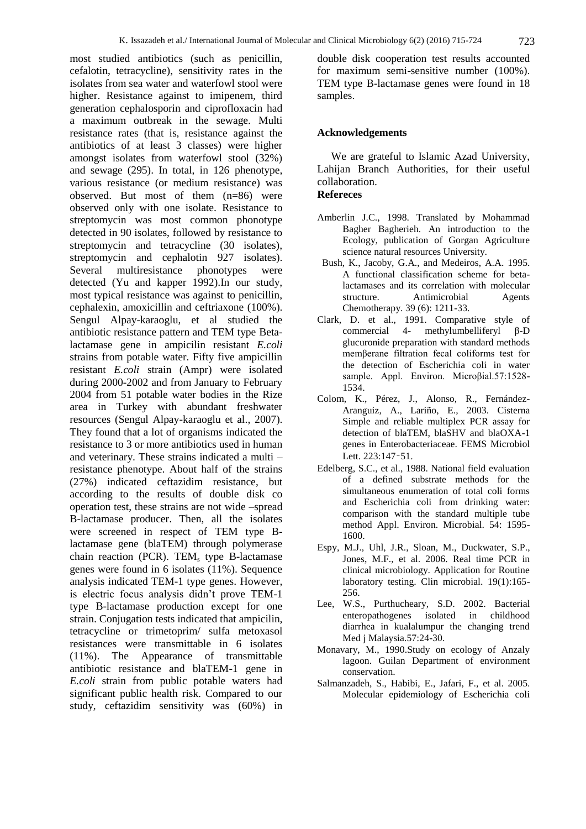most studied antibiotics (such as penicillin, cefalotin, tetracycline), sensitivity rates in the isolates from sea water and waterfowl stool were higher. Resistance against to imipenem, third generation cephalosporin and ciprofloxacin had a maximum outbreak in the sewage. Multi resistance rates (that is, resistance against the antibiotics of at least 3 classes) were higher amongst isolates from waterfowl stool (32%) and sewage (295). In total, in 126 phenotype, various resistance (or medium resistance) was observed. But most of them (n=86) were observed only with one isolate. Resistance to streptomycin was most common phonotype detected in 90 isolates, followed by resistance to streptomycin and tetracycline (30 isolates), streptomycin and cephalotin 927 isolates). Several multiresistance phonotypes were detected (Yu and kapper 1992).In our study, most typical resistance was against to penicillin, cephalexin, amoxicillin and ceftriaxone (100%). Sengul Alpay-karaoglu, et al studied the antibiotic resistance pattern and TEM type Betalactamase gene in ampicilin resistant *E.coli* strains from potable water. Fifty five ampicillin resistant *E.coli* strain (Ampr) were isolated during 2000-2002 and from January to February 2004 from 51 potable water bodies in the Rize area in Turkey with abundant freshwater resources (Sengul Alpay-karaoglu et al., 2007). They found that a lot of organisms indicated the resistance to 3 or more antibiotics used in human and veterinary. These strains indicated a multi – resistance phenotype. About half of the strains (27%) indicated ceftazidim resistance, but according to the results of double disk co operation test, these strains are not wide –spread B-lactamase producer. Then, all the isolates were screened in respect of TEM type Blactamase gene (blaTEM) through polymerase chain reaction (PCR). TEM<sub>s</sub> type B-lactamase genes were found in 6 isolates (11%). Sequence analysis indicated TEM-1 type genes. However, is electric focus analysis didn't prove TEM-1 type B-lactamase production except for one strain. Conjugation tests indicated that ampicilin, tetracycline or trimetoprim/ sulfa metoxasol resistances were transmittable in 6 isolates (11%). The Appearance of transmittable antibiotic resistance and blaTEM-1 gene in *E.coli* strain from public potable waters had significant public health risk. Compared to our study, ceftazidim sensitivity was (60%) in

double disk cooperation test results accounted for maximum semi-sensitive number (100%). TEM type B-lactamase genes were found in 18 samples.

#### **Acknowledgements**

We are grateful to Islamic Azad University, Lahijan Branch Authorities, for their useful collaboration.

#### **Refereces**

- Amberlin J.C., 1998. Translated by Mohammad Bagher Bagherieh. An introduction to the Ecology, publication of Gorgan Agriculture science natural resources University.
- Bush, K., Jacoby, G.A., and Medeiros, A.A. 1995. A functional classification scheme for betalactamases and its correlation with molecular structure. Antimicrobial Agents Chemotherapy. 39 (6): 1211-33.
- Clark, D. et al., 1991. Comparative style of commercial 4- methylumbelliferyl β-D glucuronide preparation with standard methods memβerane filtration fecal coliforms test for the detection of Escherichia coli in water sample. Appl. Environ. Microβial.57:1528- 1534.
- Colom, K., Pérez, J., Alonso, R., Fernández-Aranguiz, A., Lariño, E., 2003. Cisterna Simple and reliable multiplex PCR assay for detection of blaTEM, blaSHV and blaOXA-1 genes in Enterobacteriaceae. FEMS Microbiol Lett. 223:147–51.
- Edelberg, S.C., et al., 1988. National field evaluation of a defined substrate methods for the simultaneous enumeration of total coli forms and Escherichia coli from drinking water: comparison with the standard multiple tube method Appl. Environ. Microbial. 54: 1595- 1600.
- Espy, M.J., Uhl, J.R., Sloan, M., Duckwater, S.P., Jones, M.F., et al. 2006. Real time PCR in clinical microbiology. Application for Routine laboratory testing. Clin microbial. 19(1):165- 256.
- Lee, W.S., Purthucheary, S.D. 2002. Bacterial enteropathogenes isolated in childhood diarrhea in kualalumpur the changing trend Med j Malaysia.57:24-30.
- Monavary, M., 1990.Study on ecology of Anzaly lagoon. Guilan Department of environment conservation.
- Salmanzadeh, S., Habibi, E., Jafari, F., et al. 2005. Molecular epidemiology of Escherichia coli